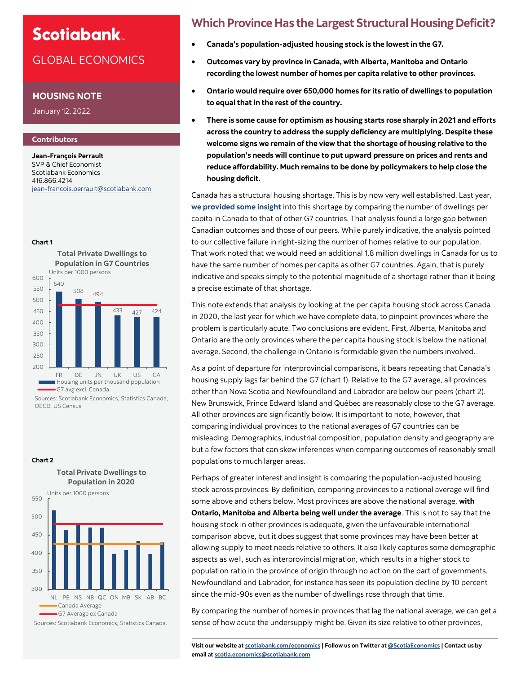# **Scotiabank**

## GLOBAL ECONOMICS

### **HOUSING NOTE**

January 12, 2022

### **Contributors**

**Chart 1**

**Jean-François Perrault** SVP & Chief Economist Scotiabank Economics 416.866.4214 jean-[francois.perrault@scotiabank.com](mailto:jean-francois.perrault@scotiabank.com)





G7 avg excl. Canada

Sources: Scotiabank Economics, Statistics Canada, OECD, US Census.

NL PE NS NB QC ON MB SK AB BC Canada Average G7 Average ex Canada

Sources: Scotiabank Economics, Statistics Canada.

## **Which Province Has the Largest Structural Housing Deficit?**

- **Canada's population-adjusted housing stock is the lowest in the G7.**
- **Outcomes vary by province in Canada, with Alberta, Manitoba and Ontario recording the lowest number of homes per capita relative to other provinces.**
- **Ontario would require over 650,000 homes for its ratio of dwellings to population to equal that in the rest of the country.**
- **There is some cause for optimism as housing starts rose sharply in 2021 and efforts across the country to address the supply deficiency are multiplying. Despite these welcome signs we remain of the view that the shortage of housing relative to the population's needs will continue to put upward pressure on prices and rents and reduce affordability. Much remains to be done by policymakers to help close the housing deficit.**

Canada has a structural housing shortage. This is by now very well established. Last year, **[we provided some insight](https://www.scotiabank.com/ca/en/about/economics/economics-publications/post.other-publications.housing.housing-note.housing-note--may-12-2021-.html)** into this shortage by comparing the number of dwellings per capita in Canada to that of other G7 countries. That analysis found a large gap between Canadian outcomes and those of our peers. While purely indicative, the analysis pointed to our collective failure in right-sizing the number of homes relative to our population. That work noted that we would need an additional 1.8 million dwellings in Canada for us to have the same number of homes per capita as other G7 countries. Again, that is purely indicative and speaks simply to the potential magnitude of a shortage rather than it being a precise estimate of that shortage.

This note extends that analysis by looking at the per capita housing stock across Canada in 2020, the last year for which we have complete data, to pinpoint provinces where the problem is particularly acute. Two conclusions are evident. First, Alberta, Manitoba and Ontario are the only provinces where the per capita housing stock is below the national average. Second, the challenge in Ontario is formidable given the numbers involved.

As a point of departure for interprovincial comparisons, it bears repeating that Canada's housing supply lags far behind the G7 (chart 1). Relative to the G7 average, all provinces other than Nova Scotia and Newfoundland and Labrador are below our peers (chart 2). New Brunswick, Prince Edward Island and Québec are reasonably close to the G7 average. All other provinces are significantly below. It is important to note, however, that comparing individual provinces to the national averages of G7 countries can be misleading. Demographics, industrial composition, population density and geography are but a few factors that can skew inferences when comparing outcomes of reasonably small populations to much larger areas.

Perhaps of greater interest and insight is comparing the population-adjusted housing stock across provinces. By definition, comparing provinces to a national average will find some above and others below. Most provinces are above the national average, **with Ontario, Manitoba and Alberta being well under the average**. This is not to say that the housing stock in other provinces is adequate, given the unfavourable international comparison above, but it does suggest that some provinces may have been better at allowing supply to meet needs relative to others. It also likely captures some demographic aspects as well, such as interprovincial migration, which results in a higher stock to population ratio in the province of origin through no action on the part of governments. Newfoundland and Labrador, for instance has seen its population decline by 10 percent since the mid-90s even as the number of dwellings rose through that time.

By comparing the number of homes in provinces that lag the national average, we can get a sense of how acute the undersupply might be. Given its size relative to other provinces,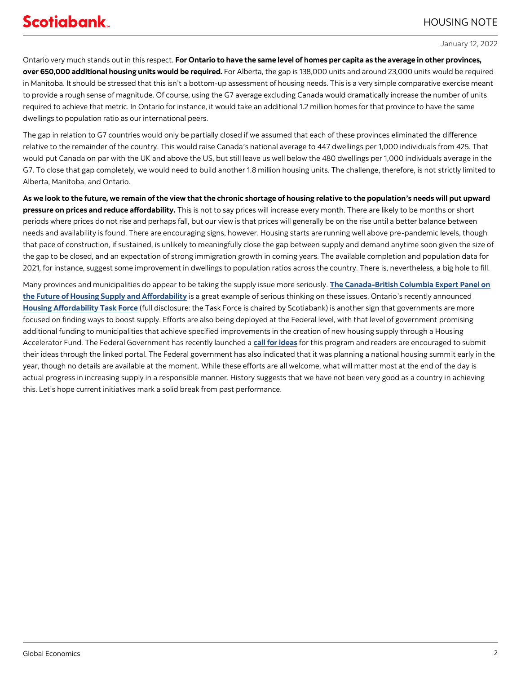## HOUSING NOTE

### January 12, 2022

Ontario very much stands out in this respect. **For Ontario to have the same level of homes per capita as the average in other provinces, over 650,000 additional housing units would be required.** For Alberta, the gap is 138,000 units and around 23,000 units would be required in Manitoba. It should be stressed that this isn't a bottom-up assessment of housing needs. This is a very simple comparative exercise meant to provide a rough sense of magnitude. Of course, using the G7 average excluding Canada would dramatically increase the number of units required to achieve that metric. In Ontario for instance, it would take an additional 1.2 million homes for that province to have the same dwellings to population ratio as our international peers.

The gap in relation to G7 countries would only be partially closed if we assumed that each of these provinces eliminated the difference relative to the remainder of the country. This would raise Canada's national average to 447 dwellings per 1,000 individuals from 425. That would put Canada on par with the UK and above the US, but still leave us well below the 480 dwellings per 1,000 individuals average in the G7. To close that gap completely, we would need to build another 1.8 million housing units. The challenge, therefore, is not strictly limited to Alberta, Manitoba, and Ontario.

**As we look to the future, we remain of the view that the chronic shortage of housing relative to the population's needs will put upward pressure on prices and reduce affordability.** This is not to say prices will increase every month. There are likely to be months or short periods where prices do not rise and perhaps fall, but our view is that prices will generally be on the rise until a better balance between needs and availability is found. There are encouraging signs, however. Housing starts are running well above pre-pandemic levels, though that pace of construction, if sustained, is unlikely to meaningfully close the gap between supply and demand anytime soon given the size of the gap to be closed, and an expectation of strong immigration growth in coming years. The available completion and population data for 2021, for instance, suggest some improvement in dwellings to population ratios across the country. There is, nevertheless, a big hole to fill.

Many provinces and municipalities do appear to be taking the supply issue more seriously. **The Canada-[British Columbia Expert Panel on](https://engage.gov.bc.ca/app/uploads/sites/121/2021/06/Opening-Doors_BC-Expert-Panel_Final-Report_Jun16.pdf)  [the Future of Housing Supply and Affordability](https://engage.gov.bc.ca/app/uploads/sites/121/2021/06/Opening-Doors_BC-Expert-Panel_Final-Report_Jun16.pdf)** is a great example of serious thinking on these issues. Ontario's recently announced **[Housing Affordability Task Force](https://news.ontario.ca/en/release/1001289/ontario-appoints-housing-affordability-task-force)** (full disclosure: the Task Force is chaired by Scotiabank) is another sign that governments are more focused on finding ways to boost supply. Efforts are also being deployed at the Federal level, with that level of government promising additional funding to municipalities that achieve specified improvements in the creation of new housing supply through a Housing Accelerator Fund. The Federal Government has recently launched a **[call for ideas](https://www.placetocallhome.ca/callforideas)** for this program and readers are encouraged to submit their ideas through the linked portal. The Federal government has also indicated that it was planning a national housing summit early in the year, though no details are available at the moment. While these efforts are all welcome, what will matter most at the end of the day is actual progress in increasing supply in a responsible manner. History suggests that we have not been very good as a country in achieving this. Let's hope current initiatives mark a solid break from past performance.